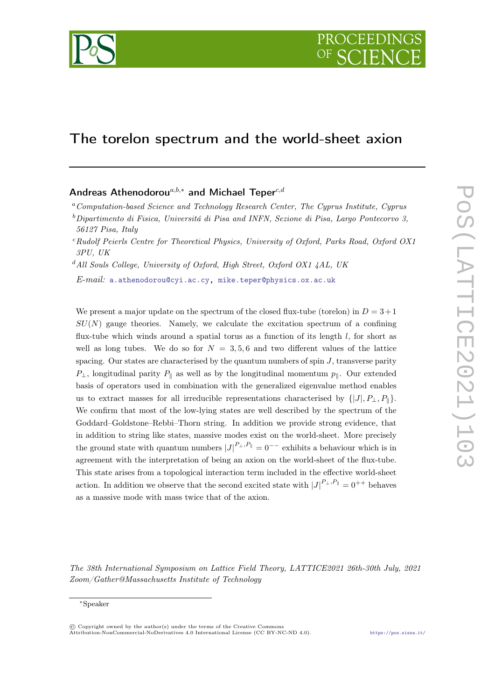

# The torelon spectrum and the world-sheet axion

## Andreas Athenodorou<sup>a,b,\*</sup> and Michael Teper<sup>c,d</sup>

 $d$ All Souls College, University of Oxford, High Street, Oxford OX1 4AL, UK

 $E$ -mail: [a.athenodorou@cyi.ac.cy,](mailto:a.athenodorou@cyi.ac.cy) [mike.teper@physics.ox.ac.uk](mailto:mike.teper@physics.ox.ac.uk)

We present a major update on the spectrum of the closed flux-tube (torelon) in  $D = 3+1$  $SU(N)$  gauge theories. Namely, we calculate the excitation spectrum of a confining flux-tube which winds around a spatial torus as a function of its length  $l$ , for short as well as long tubes. We do so for  $N = 3, 5, 6$  and two different values of the lattice spacing. Our states are characterised by the quantum numbers of spin  $J$ , transverse parity  $P_{\perp}$ , longitudinal parity  $P_{\parallel}$  as well as by the longitudinal momentum  $p_{\parallel}$ . Our extended basis of operators used in combination with the generalized eigenvalue method enables us to extract masses for all irreducible representations characterised by  $\{|J|, P_{\perp}, P_{\parallel}\}.$ We confirm that most of the low-lying states are well described by the spectrum of the Goddard–Goldstone–Rebbi–Thorn string. In addition we provide strong evidence, that in addition to string like states, massive modes exist on the world-sheet. More precisely the ground state with quantum numbers  $|J|^{P_{\perp}, P_{\parallel}} = 0^{--}$  exhibits a behaviour which is in agreement with the interpretation of being an axion on the world-sheet of the flux-tube. This state arises from a topological interaction term included in the effective world-sheet action. In addition we observe that the second excited state with  $|J|^{P_{\perp},P_{\parallel}} = 0^{++}$  behaves as a massive mode with mass twice that of the axion.

The 38th International Symposium on Lattice Field Theory, LATTICE2021 26th-30th July, 2021 Zoom/Gather@Massachusetts Institute of Technology

 $a^a$ Computation-based Science and Technology Research Center, The Cyprus Institute, Cyprus

 $b$ Dipartimento di Fisica, Universitá di Pisa and INFN, Sezione di Pisa, Largo Pontecorvo 3, 56127 Pisa, Italy

<sup>c</sup>Rudolf Peierls Centre for Theoretical Physics, University of Oxford, Parks Road, Oxford OX1 3PU, UK

<sup>∗</sup>Speaker

<sup>©</sup> Copyright owned by the author(s) under the terms of the Creative Commons Attribution-NonCommercial-NoDerivatives 4.0 International License (CC BY-NC-ND 4.0). <https://pos.sissa.it/>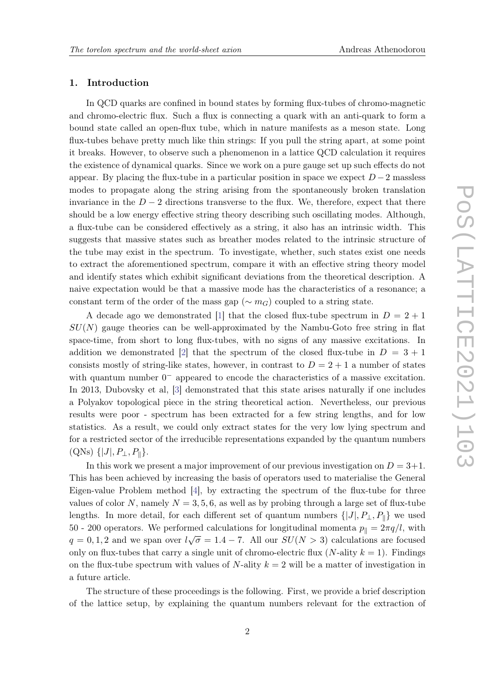## 1. Introduction

In QCD quarks are confined in bound states by forming flux-tubes of chromo-magnetic and chromo-electric flux. Such a flux is connecting a quark with an anti-quark to form a bound state called an open-flux tube, which in nature manifests as a meson state. Long flux-tubes behave pretty much like thin strings: If you pull the string apart, at some point it breaks. However, to observe such a phenomenon in a lattice QCD calculation it requires the existence of dynamical quarks. Since we work on a pure gauge set up such effects do not appear. By placing the flux-tube in a particular position in space we expect  $D-2$  massless modes to propagate along the string arising from the spontaneously broken translation invariance in the  $D-2$  directions transverse to the flux. We, therefore, expect that there should be a low energy effective string theory describing such oscillating modes. Although, a flux-tube can be considered effectively as a string, it also has an intrinsic width. This suggests that massive states such as breather modes related to the intrinsic structure of the tube may exist in the spectrum. To investigate, whether, such states exist one needs to extract the aforementioned spectrum, compare it with an effective string theory model and identify states which exhibit significant deviations from the theoretical description. A naive expectation would be that a massive mode has the characteristics of a resonance; a constant term of the order of the mass gap ( $\sim m_G$ ) coupled to a string state.

A decade ago we demonstrated [\[1\]](#page-10-0) that the closed flux-tube spectrum in  $D = 2 + 1$  $SU(N)$  gauge theories can be well-approximated by the Nambu-Goto free string in flat space-time, from short to long flux-tubes, with no signs of any massive excitations. In addition we demonstrated [\[2\]](#page-10-1) that the spectrum of the closed flux-tube in  $D = 3 + 1$ consists mostly of string-like states, however, in contrast to  $D = 2 + 1$  a number of states with quantum number  $0^-$  appeared to encode the characteristics of a massive excitation. In 2013, Dubovsky et al, [\[3\]](#page-10-2) demonstrated that this state arises naturally if one includes a Polyakov topological piece in the string theoretical action. Nevertheless, our previous results were poor - spectrum has been extracted for a few string lengths, and for low statistics. As a result, we could only extract states for the very low lying spectrum and for a restricted sector of the irreducible representations expanded by the quantum numbers  $(QNs) \{ |J|, P_{\perp}, P_{\parallel} \}.$ 

In this work we present a major improvement of our previous investigation on  $D = 3+1$ . This has been achieved by increasing the basis of operators used to materialise the General Eigen-value Problem method [\[4\]](#page-10-3), by extracting the spectrum of the flux-tube for three values of color N, namely  $N = 3, 5, 6$ , as well as by probing through a large set of flux-tube lengths. In more detail, for each different set of quantum numbers  $\{|J|, P_{\perp}, P_{\parallel}\}\$  we used 50 - 200 operators. We performed calculations for longitudinal momenta  $p_{\parallel} = 2\pi q/l$ , with  $q = 0, 1, 2$  and we span over  $l\sqrt{\sigma} = 1.4 - 7$ . All our  $SU(N > 3)$  calculations are focused only on flux-tubes that carry a single unit of chromo-electric flux  $(N\text{-ality } k = 1)$ . Findings on the flux-tube spectrum with values of N-ality  $k = 2$  will be a matter of investigation in a future article.

The structure of these proceedings is the following. First, we provide a brief description of the lattice setup, by explaining the quantum numbers relevant for the extraction of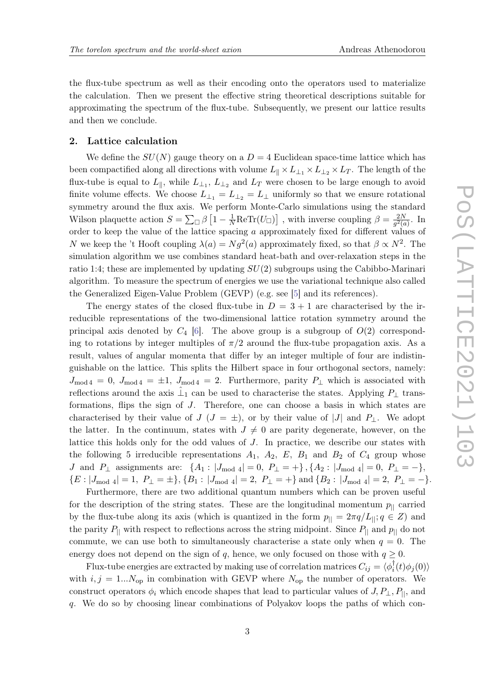the flux-tube spectrum as well as their encoding onto the operators used to materialize the calculation. Then we present the effective string theoretical descriptions suitable for approximating the spectrum of the flux-tube. Subsequently, we present our lattice results and then we conclude.

## 2. Lattice calculation

We define the  $SU(N)$  gauge theory on a  $D = 4$  Euclidean space-time lattice which has been compactified along all directions with volume  $L_{\parallel} \times L_{\perp_1} \times L_{\perp_2} \times L_T$ . The length of the flux-tube is equal to  $L_{\parallel}$ , while  $L_{\perp_1}$ ,  $L_{\perp_2}$  and  $L_T$  were chosen to be large enough to avoid finite volume effects. We choose  $L_{\perp_1} = L_{\perp_2} = L_{\perp}$  uniformly so that we ensure rotational symmetry around the flux axis. We perform Monte-Carlo simulations using the standard Wilson plaquette action  $S = \sum_{\Box} \beta \left[1 - \frac{1}{N} \text{ReTr}(U_{\Box})\right]$ , with inverse coupling  $\beta = \frac{2N}{g^2(e)}$  $rac{2N}{g^2(a)}$ . In order to keep the value of the lattice spacing a approximately fixed for different values of N we keep the 't Hooft coupling  $\lambda(a) = Ng^2(a)$  approximately fixed, so that  $\beta \propto N^2$ . The simulation algorithm we use combines standard heat-bath and over-relaxation steps in the ratio 1:4; these are implemented by updating  $SU(2)$  subgroups using the Cabibbo-Marinari algorithm. To measure the spectrum of energies we use the variational technique also called the Generalized Eigen-Value Problem (GEVP) (e.g. see [\[5\]](#page-10-4) and its references).

The energy states of the closed flux-tube in  $D = 3 + 1$  are characterised by the irreducible representations of the two-dimensional lattice rotation symmetry around the principal axis denoted by  $C_4$  [\[6\]](#page-10-5). The above group is a subgroup of  $O(2)$  corresponding to rotations by integer multiples of  $\pi/2$  around the flux-tube propagation axis. As a result, values of angular momenta that differ by an integer multiple of four are indistinguishable on the lattice. This splits the Hilbert space in four orthogonal sectors, namely:  $J_{\text{mod }4} = 0$ ,  $J_{\text{mod }4} = \pm 1$ ,  $J_{\text{mod }4} = 2$ . Furthermore, parity  $P_{\perp}$  which is associated with reflections around the axis  $\hat{\perp}_1$  can be used to characterise the states. Applying  $P_{\perp}$  transformations, flips the sign of J. Therefore, one can choose a basis in which states are characterised by their value of  $J$  ( $J = \pm$ ), or by their value of |J| and P|. We adopt the latter. In the continuum, states with  $J \neq 0$  are parity degenerate, however, on the lattice this holds only for the odd values of J. In practice, we describe our states with the following 5 irreducible representations  $A_1$ ,  $A_2$ ,  $E$ ,  $B_1$  and  $B_2$  of  $C_4$  group whose J and  $P_{\perp}$  assignments are:  $\{A_1: |J_{\text{mod }4}| = 0, P_{\perp} = +\}, \{A_2: |J_{\text{mod }4}| = 0, P_{\perp} = -\},\$  ${E : |J_{\text{mod }4}| = 1, P_{\perp} = \pm}, {B_1 : |J_{\text{mod }4}| = 2, P_{\perp} = +} \text{ and } {B_2 : |J_{\text{mod }4}| = 2, P_{\perp} = -}.$ 

Furthermore, there are two additional quantum numbers which can be proven useful for the description of the string states. These are the longitudinal momentum  $p_{\parallel}$  carried by the flux-tube along its axis (which is quantized in the form  $p_{\parallel} = 2\pi q/L_{\parallel}$ ;  $q \in Z$ ) and the parity  $P_{\parallel}$  with respect to reflections across the string midpoint. Since  $P_{\parallel}$  and  $p_{\parallel}$  do not commute, we can use both to simultaneously characterise a state only when  $q = 0$ . The energy does not depend on the sign of q, hence, we only focused on those with  $q \geq 0$ .

Flux-tube energies are extracted by making use of correlation matrices  $C_{ij} = \langle \phi_i^{\dagger}(t) \phi_j(0) \rangle$ with  $i, j = 1...N_{op}$  in combination with GEVP where  $N_{op}$  the number of operators. We construct operators  $\phi_i$  which encode shapes that lead to particular values of  $J, P_\perp, P_{||}$ , and q. We do so by choosing linear combinations of Polyakov loops the paths of which con-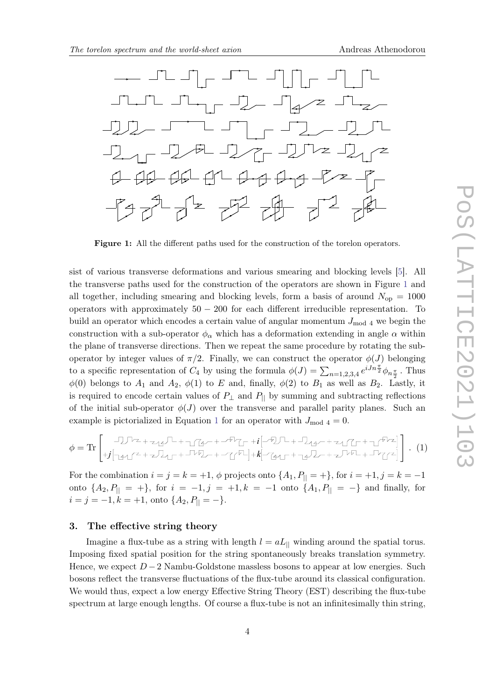<span id="page-3-0"></span>

Figure 1: All the different paths used for the construction of the torelon operators.

sist of various transverse deformations and various smearing and blocking levels [\[5\]](#page-10-4). All the transverse paths used for the construction of the operators are shown in Figure [1](#page-3-0) and all together, including smearing and blocking levels, form a basis of around  $N_{op} = 1000$ operators with approximately  $50 - 200$  for each different irreducible representation. To build an operator which encodes a certain value of angular momentum  $J_{\text{mod }4}$  we begin the construction with a sub-operator  $\phi_{\alpha}$  which has a deformation extending in angle  $\alpha$  within the plane of transverse directions. Then we repeat the same procedure by rotating the suboperator by integer values of  $\pi/2$ . Finally, we can construct the operator  $\phi(J)$  belonging to a specific representation of  $C_4$  by using the formula  $\phi(J) = \sum_{n=1,2,3,4} e^{iJn\frac{\pi}{2}} \phi_{n\frac{\pi}{2}}$ . Thus  $\phi(0)$  belongs to  $A_1$  and  $A_2$ ,  $\phi(1)$  to E and, finally,  $\phi(2)$  to  $B_1$  as well as  $B_2$ . Lastly, it is required to encode certain values of  $P_{\perp}$  and  $P_{\parallel}$  by summing and subtracting reflections of the initial sub-operator  $\phi(J)$  over the transverse and parallel parity planes. Such an example is pictorialized in Equation [1](#page-3-1) for an operator with  $J_{\text{mod } 4} = 0$ .

<span id="page-3-1"></span>
$$
\phi = \text{Tr} \begin{bmatrix} \text{Tr} \begin{bmatrix} -1 \text{Tr} \begin{bmatrix} -1 \text{Tr} \end{bmatrix} + \text{Tr} \begin{bmatrix} -1 \text{Tr} \end{bmatrix} + \text{Tr} \begin{bmatrix} -1 \text{Tr} \begin{bmatrix} -1 \text{Tr} \end{bmatrix} + \text{Tr} \begin{bmatrix} -1 \text{Tr} \end{bmatrix} + \text{Tr} \begin{bmatrix} -1 \text{Tr} \end{bmatrix} + \text{Tr} \begin{bmatrix} -1 \text{Tr} \end{bmatrix} + \text{Tr} \begin{bmatrix} -1 \text{Tr} \end{bmatrix} + \text{Tr} \begin{bmatrix} -1 \text{Tr} \end{bmatrix} + \text{Tr} \begin{bmatrix} -1 \text{Tr} \end{bmatrix} + \text{Tr} \begin{bmatrix} -1 \text{Tr} \end{bmatrix} + \text{Tr} \begin{bmatrix} -1 \text{Tr} \end{bmatrix} + \text{Tr} \begin{bmatrix} -1 \text{Tr} \end{bmatrix} + \text{Tr} \begin{bmatrix} -1 \text{Tr} \end{bmatrix} + \text{Tr} \begin{bmatrix} -1 \text{Tr} \end{bmatrix} + \text{Tr} \begin{bmatrix} -1 \text{Tr} \end{bmatrix} + \text{Tr} \begin{bmatrix} -1 \text{Tr} \end{bmatrix} + \text{Tr} \begin{bmatrix} -1 \text{Tr} \end{bmatrix} + \text{Tr} \begin{bmatrix} -1 \text{Tr} \end{bmatrix} + \text{Tr} \begin{bmatrix} -1 \text{Tr} \end{bmatrix} + \text{Tr} \begin{bmatrix} -1 \text{Tr} \end{bmatrix} + \text{Tr} \begin{bmatrix} -1 \text{Tr} \end{bmatrix} + \text{Tr} \begin{bmatrix} -1 \text{Tr} \end{bmatrix} + \text{Tr} \begin{bmatrix} -1 \text{Tr} \end{bmatrix} + \text{Tr} \begin{bmatrix} -1 \text{Tr} \end{bmatrix} + \text{Tr} \begin{bmatrix} -1 \text{Tr} \end{bmatrix} + \text{Tr} \begin{bmatrix} -1 \text{Tr} \end{bmatrix} + \text{Tr} \begin{bmatrix} -1 \text{Tr} \end{bmatrix} + \text{Tr} \begin{bmatrix} -1 \text{Tr} \end{bmatrix} + \text{Tr} \begin{bmatrix} -1 \text{Tr} \end
$$

For the combination  $i = j = k = +1$ ,  $\phi$  projects onto  $\{A_1, P_{\parallel} = +\}$ , for  $i = +1$ ,  $j = k = -1$ onto  $\{A_2, P_{\parallel} = +\}$ , for  $i = -1, j = +1, k = -1$  onto  $\{A_1, P_{\parallel} = -\}$  and finally, for  $i = j = -1, k = +1$ , onto  $\{A_2, P_{\parallel} = -\}.$ 

## 3. The effective string theory

Imagine a flux-tube as a string with length  $l = aL_{\parallel}$  winding around the spatial torus. Imposing fixed spatial position for the string spontaneously breaks translation symmetry. Hence, we expect  $D-2$  Nambu-Goldstone massless bosons to appear at low energies. Such bosons reflect the transverse fluctuations of the flux-tube around its classical configuration. We would thus, expect a low energy Effective String Theory (EST) describing the flux-tube spectrum at large enough lengths. Of course a flux-tube is not an infinitesimally thin string,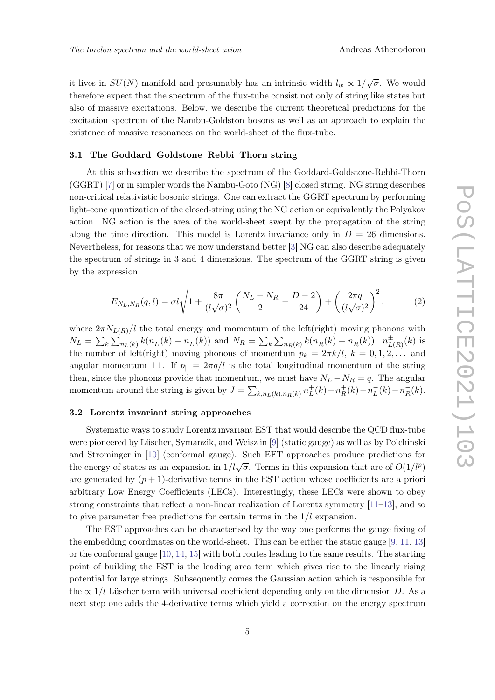it lives in  $SU(N)$  manifold and presumably has an intrinsic width  $l_w \propto 1/\sqrt{\sigma}$ . We would therefore expect that the spectrum of the flux-tube consist not only of string like states but also of massive excitations. Below, we describe the current theoretical predictions for the excitation spectrum of the Nambu-Goldston bosons as well as an approach to explain the existence of massive resonances on the world-sheet of the flux-tube.

#### 3.1 The Goddard–Goldstone–Rebbi–Thorn string

At this subsection we describe the spectrum of the Goddard-Goldstone-Rebbi-Thorn (GGRT) [\[7\]](#page-10-6) or in simpler words the Nambu-Goto (NG) [\[8\]](#page-10-7) closed string. NG string describes non-critical relativistic bosonic strings. One can extract the GGRT spectrum by performing light-cone quantization of the closed-string using the NG action or equivalently the Polyakov action. NG action is the area of the world-sheet swept by the propagation of the string along the time direction. This model is Lorentz invariance only in  $D = 26$  dimensions. Nevertheless, for reasons that we now understand better [\[3\]](#page-10-2) NG can also describe adequately the spectrum of strings in 3 and 4 dimensions. The spectrum of the GGRT string is given by the expression:

<span id="page-4-0"></span>
$$
E_{N_L,N_R}(q,l) = \sigma l \sqrt{1 + \frac{8\pi}{(l\sqrt{\sigma})^2} \left(\frac{N_L + N_R}{2} - \frac{D-2}{24}\right) + \left(\frac{2\pi q}{(l\sqrt{\sigma})^2}\right)^2},
$$
(2)

where  $2\pi N_{L(R)}/l$  the total energy and momentum of the left(right) moving phonons with  $N_L = \sum_k \sum_{n_L(k)} k(n_L^+$  $L_L^+(k) + n_L^-(k)$  and  $N_R = \sum_k \sum_{n_R(k)} k(n_R^+$  $n_{R}^{\pm}(k) + n_{R}^{\pm}(k)$ ).  $n_{L(R)}^{\pm}(k)$  is the number of left(right) moving phonons of momentum  $p_k = 2\pi k/l$ ,  $k = 0, 1, 2, \ldots$  and angular momentum  $\pm 1$ . If  $p_{\parallel} = 2\pi q/l$  is the total longitudinal momentum of the string then, since the phonons provide that momentum, we must have  $N_L - N_R = q$ . The angular momentum around the string is given by  $J = \sum_{k,n}(k) n_R(k) n_L^{\dagger}$  $L^+(k) + n_R^+$  $n_{R}^{+}(k) - n_{L}^{-}(k) - n_{R}^{-}(k).$ 

## 3.2 Lorentz invariant string approaches

Systematic ways to study Lorentz invariant EST that would describe the QCD flux-tube were pioneered by Lüscher, Symanzik, and Weisz in [\[9\]](#page-10-8) (static gauge) as well as by Polchinski and Strominger in [\[10\]](#page-10-9) (conformal gauge). Such EFT approaches produce predictions for the energy of states as an expansion in  $1/l\sqrt{\sigma}$ . Terms in this expansion that are of  $O(1/l^p)$ are generated by  $(p + 1)$ -derivative terms in the EST action whose coefficients are a priori arbitrary Low Energy Coefficients (LECs). Interestingly, these LECs were shown to obey strong constraints that reflect a non-linear realization of Lorentz symmetry [\[11–](#page-10-10)[13\]](#page-10-11), and so to give parameter free predictions for certain terms in the  $1/l$  expansion.

The EST approaches can be characterised by the way one performs the gauge fixing of the embedding coordinates on the world-sheet. This can be either the static gauge [\[9,](#page-10-8) [11,](#page-10-10) [13\]](#page-10-11) or the conformal gauge [\[10,](#page-10-9) [14,](#page-10-12) [15\]](#page-11-0) with both routes leading to the same results. The starting point of building the EST is the leading area term which gives rise to the linearly rising potential for large strings. Subsequently comes the Gaussian action which is responsible for the  $\propto 1/l$  Lüscher term with universal coefficient depending only on the dimension D. As a next step one adds the 4-derivative terms which yield a correction on the energy spectrum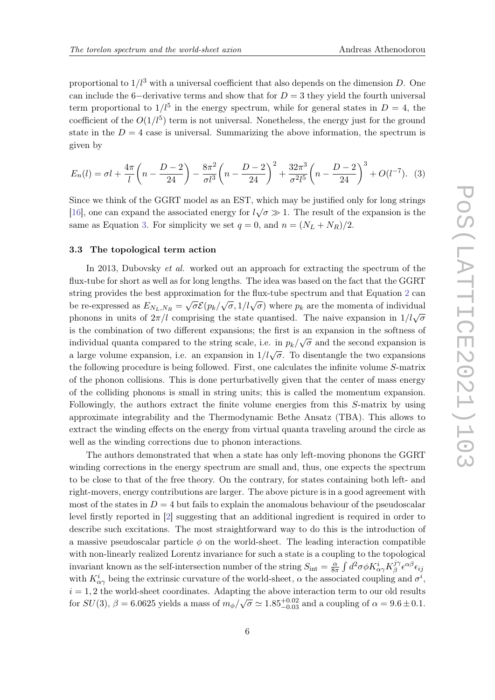proportional to  $1/l^3$  with a universal coefficient that also depends on the dimension D. One can include the 6-derivative terms and show that for  $D = 3$  they yield the fourth universal term proportional to  $1/l^5$  in the energy spectrum, while for general states in  $D=4$ , the coefficient of the  $O(1/l^5)$  term is not universal. Nonetheless, the energy just for the ground state in the  $D = 4$  case is universal. Summarizing the above information, the spectrum is given by

<span id="page-5-0"></span>
$$
E_n(l) = \sigma l + \frac{4\pi}{l} \left( n - \frac{D-2}{24} \right) - \frac{8\pi^2}{\sigma l^3} \left( n - \frac{D-2}{24} \right)^2 + \frac{32\pi^3}{\sigma^2 l^5} \left( n - \frac{D-2}{24} \right)^3 + O(l^{-7}).
$$
 (3)

Since we think of the GGRT model as an EST, which may be justified only for long strings [\[16\]](#page-11-1), one can expand the associated energy for  $l\sqrt{\sigma} \gg 1$ . The result of the expansion is the same as Equation [3.](#page-5-0) For simplicity we set  $q = 0$ , and  $n = (N_L + N_R)/2$ .

## <span id="page-5-1"></span>3.3 The topological term action

In 2013, Dubovsky et al. worked out an approach for extracting the spectrum of the flux-tube for short as well as for long lengths. The idea was based on the fact that the GGRT string provides the best approximation for the flux-tube spectrum and that Equation [2](#page-4-0) can be re-expressed as  $E_{N_L,N_R} = \sqrt{\sigma} \mathcal{E}(p_k/\sqrt{\sigma}, 1/l\sqrt{\sigma})$  where  $p_k$  are the momenta of individual phonons in units of  $2\pi/l$  comprising the state quantised. The naive expansion in  $1/l\sqrt{\sigma}$ is the combination of two different expansions; the first is an expansion in the softness of individual quanta compared to the string scale, i.e. in  $p_k/\sqrt{\sigma}$  and the second expansion is a large volume expansion, i.e. an expansion in  $1/l\sqrt{\sigma}$ . To disentangle the two expansions the following procedure is being followed. First, one calculates the infinite volume S-matrix of the phonon collisions. This is done perturbativelly given that the center of mass energy of the colliding phonons is small in string units; this is called the momentum expansion. Followingly, the authors extract the finite volume energies from this S-matrix by using approximate integrability and the Thermodynamic Bethe Ansatz (TBA). This allows to extract the winding effects on the energy from virtual quanta traveling around the circle as well as the winding corrections due to phonon interactions.

The authors demonstrated that when a state has only left-moving phonons the GGRT winding corrections in the energy spectrum are small and, thus, one expects the spectrum to be close to that of the free theory. On the contrary, for states containing both left- and right-movers, energy contributions are larger. The above picture is in a good agreement with most of the states in  $D = 4$  but fails to explain the anomalous behaviour of the pseudoscalar level firstly reported in [\[2\]](#page-10-1) suggesting that an additional ingredient is required in order to describe such excitations. The most straightforward way to do this is the introduction of a massive pseudoscalar particle  $\phi$  on the world-sheet. The leading interaction compatible with non-linearly realized Lorentz invariance for such a state is a coupling to the topological invariant known as the self-intersection number of the string  $S_{\text{int}} = \frac{\alpha}{8\pi}$  $\frac{\alpha}{8\pi} \int d^2\sigma \phi K^i_{\alpha\gamma} K^{j\gamma}_{\beta}$  $\frac{j\gamma}{\beta}\epsilon^{\alpha\beta}\epsilon_{ij}$ with  $K^i_{\alpha\gamma}$  being the extrinsic curvature of the world-sheet,  $\alpha$  the associated coupling and  $\sigma^i$ ,  $i = 1, 2$  the world-sheet coordinates. Adapting the above interaction term to our old results for  $SU(3)$ ,  $\beta = 6.0625$  yields a mass of  $m_{\phi}/\sqrt{\sigma} \simeq 1.85_{-0.03}^{+0.02}$  and a coupling of  $\alpha = 9.6 \pm 0.1$ .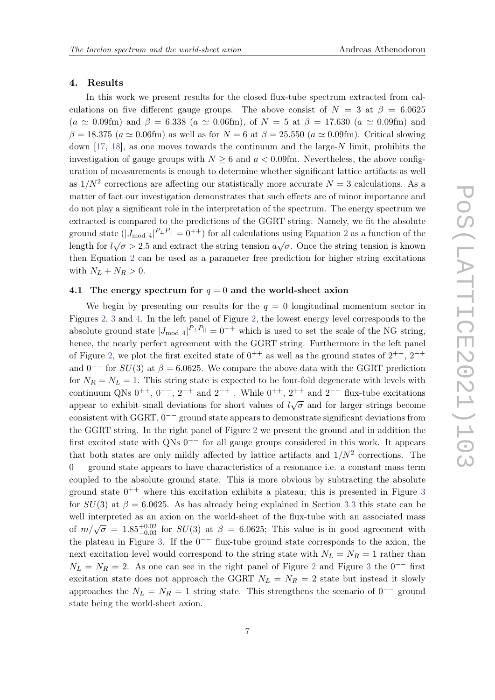#### 4. Results

In this work we present results for the closed flux-tube spectrum extracted from calculations on five different gauge groups. The above consist of  $N = 3$  at  $\beta = 6.0625$  $(a \simeq 0.09$ fm) and  $\beta = 6.338$   $(a \simeq 0.06$ fm), of  $N = 5$  at  $\beta = 17.630$   $(a \simeq 0.09$ fm) and  $\beta = 18.375$  ( $a \simeq 0.06$ fm) as well as for  $N = 6$  at  $\beta = 25.550$  ( $a \simeq 0.09$ fm). Critical slowing down [\[17,](#page-11-2) [18\]](#page-11-3), as one moves towards the continuum and the large-N limit, prohibits the investigation of gauge groups with  $N \geq 6$  and  $a < 0.09$  fm. Nevertheless, the above configuration of measurements is enough to determine whether significant lattice artifacts as well as  $1/N^2$  corrections are affecting our statistically more accurate  $N=3$  calculations. As a matter of fact our investigation demonstrates that such effects are of minor importance and do not play a significant role in the interpretation of the spectrum. The energy spectrum we extracted is compared to the predictions of the GGRT string. Namely, we fit the absolute ground state  $(|J_{\text{mod }4}|^{P_{\perp}P_{\parallel}} = 0^{++})$  for all calculations using Equation [2](#page-4-0) as a function of the length for  $l\sqrt{\sigma} > 2.5$  and extract the string tension  $a\sqrt{\sigma}$ . Once the string tension is known then Equation [2](#page-4-0) can be used as a parameter free prediction for higher string excitations with  $N_L + N_R > 0$ .

## 4.1 The energy spectrum for  $q = 0$  and the world-sheet axion

We begin by presenting our results for the  $q = 0$  longitudinal momentum sector in Figures [2,](#page-7-0) [3](#page-7-1) and [4.](#page-8-0) In the left panel of Figure [2,](#page-7-0) the lowest energy level corresponds to the absolute ground state  $|J_{\text{mod }4}|^{P_{\perp}P_{\parallel}} = 0^{++}$  which is used to set the scale of the NG string, hence, the nearly perfect agreement with the GGRT string. Furthermore in the left panel of Figure [2,](#page-7-0) we plot the first excited state of  $0^{++}$  as well as the ground states of  $2^{++}$ ,  $2^{-+}$ and  $0^{--}$  for  $SU(3)$  at  $\beta = 6.0625$ . We compare the above data with the GGRT prediction for  $N_R = N_L = 1$ . This string state is expected to be four-fold degenerate with levels with continuum QNs  $0^{++}$ ,  $0^{--}$ ,  $2^{++}$  and  $2^{-+}$ . While  $0^{++}$ ,  $2^{++}$  and  $2^{-+}$  flux-tube excitations appear to exhibit small deviations for short values of  $l\sqrt{\sigma}$  and for larger strings become consistent with GGRT, 0 −− ground state appears to demonstrate significant deviations from the GGRT string. In the right panel of Figure [2](#page-7-0) we present the ground and in addition the first excited state with QNs 0<sup>-−</sup> for all gauge groups considered in this work. It appears that both states are only mildly affected by lattice artifacts and  $1/N^2$  corrections. The 0 −− ground state appears to have characteristics of a resonance i.e. a constant mass term coupled to the absolute ground state. This is more obvious by subtracting the absolute ground state  $0^{++}$  where this excitation exhibits a plateau; this is presented in Figure [3](#page-7-1) for  $SU(3)$  at  $\beta = 6.0625$ . As has already being explained in Section [3.3](#page-5-1) this state can be well interpreted as an axion on the world-sheet of the flux-tube with an associated mass of  $m/\sqrt{\sigma} = 1.85_{-0.03}^{+0.02}$  for  $SU(3)$  at  $\beta = 6.0625$ ; This value is in good agreement with the plateau in Figure [3.](#page-7-1) If the  $0^{--}$  flux-tube ground state corresponds to the axion, the next excitation level would correspond to the string state with  $N_L = N_R = 1$  rather than  $N_L = N_R = 2$  $N_L = N_R = 2$ . As one can see in the right panel of Figure 2 and Figure [3](#page-7-1) the 0<sup>--</sup> first excitation state does not approach the GGRT  $N_L = N_R = 2$  state but instead it slowly approaches the  $N_L = N_R = 1$  string state. This strengthens the scenario of  $0^{--}$  ground state being the world-sheet axion.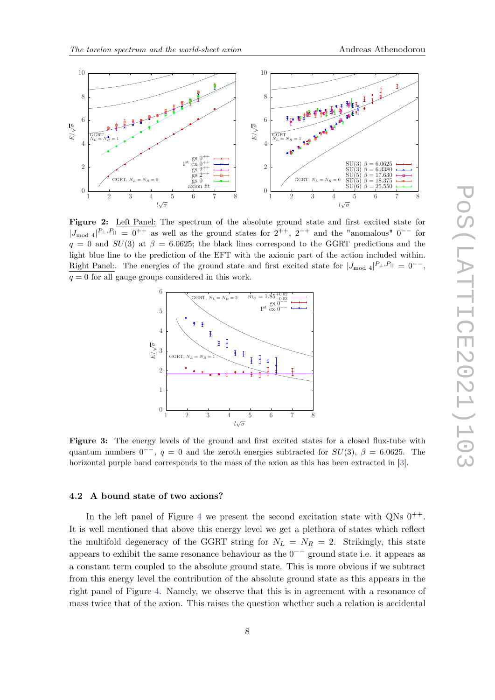<span id="page-7-0"></span>

<span id="page-7-1"></span>Figure 2: Left Panel: The spectrum of the absolute ground state and first excited state for  $|J_{\text{mod }4}|^{P_{\perp},P_{\parallel}} = 0^{++}$  as well as the ground states for  $2^{++}$ ,  $2^{-+}$  and the "anomalous"  $0^{--}$  for  $q = 0$  and  $SU(3)$  at  $\beta = 6.0625$ ; the black lines correspond to the GGRT predictions and the light blue line to the prediction of the EFT with the axionic part of the action included within. Right Panel:. The energies of the ground state and first excited state for  $|J_{\text{mod }4}|^{P_{\perp},P_{||}} = 0^{--}$ ,  $q = 0$  for all gauge groups considered in this work.



Figure 3: The energy levels of the ground and first excited states for a closed flux-tube with quantum numbers  $0^{-+}$ ,  $q = 0$  and the zeroth energies subtracted for  $SU(3)$ ,  $\beta = 6.0625$ . The horizontal purple band corresponds to the mass of the axion as this has been extracted in [\[3\]](#page-10-2).

## 4.2 A bound state of two axions?

In the left panel of Figure [4](#page-8-0) we present the second excitation state with  $QNs\ 0^{++}$ . It is well mentioned that above this energy level we get a plethora of states which reflect the multifold degeneracy of the GGRT string for  $N_L = N_R = 2$ . Strikingly, this state appears to exhibit the same resonance behaviour as the  $0<sup>-−</sup>$  ground state i.e. it appears as a constant term coupled to the absolute ground state. This is more obvious if we subtract from this energy level the contribution of the absolute ground state as this appears in the right panel of Figure [4.](#page-8-0) Namely, we observe that this is in agreement with a resonance of mass twice that of the axion. This raises the question whether such a relation is accidental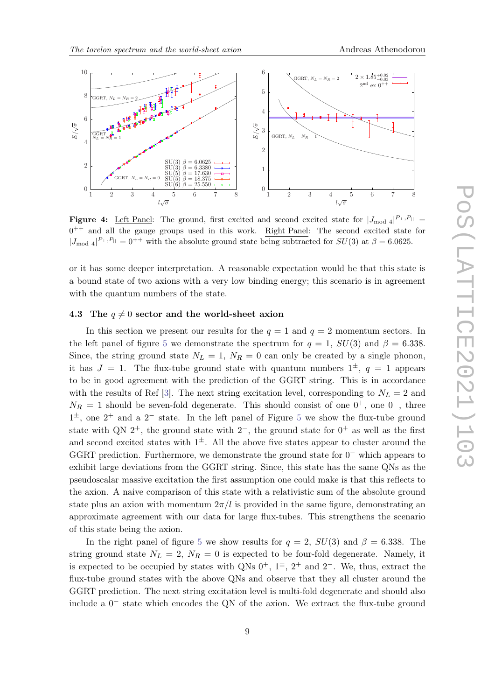<span id="page-8-0"></span>

**Figure 4:** Left Panel: The ground, first excited and second excited state for  $|J_{\text{mod }4}|^{P_{\perp},P_{||}}$  $0^{++}$  and all the gauge groups used in this work. Right Panel: The second excited state for  $|J_{\text{mod }4}|^{P_{\perp},P_{\parallel}} = 0^{++}$  with the absolute ground state being subtracted for  $SU(3)$  at  $\beta = 6.0625$ .

or it has some deeper interpretation. A reasonable expectation would be that this state is a bound state of two axions with a very low binding energy; this scenario is in agreement with the quantum numbers of the state.

## 4.3 The  $q \neq 0$  sector and the world-sheet axion

In this section we present our results for the  $q = 1$  and  $q = 2$  momentum sectors. In the left panel of figure [5](#page-9-0) we demonstrate the spectrum for  $q = 1$ ,  $SU(3)$  and  $\beta = 6.338$ . Since, the string ground state  $N_L = 1$ ,  $N_R = 0$  can only be created by a single phonon, it has  $J = 1$ . The flux-tube ground state with quantum numbers  $1^{\pm}$ ,  $q = 1$  appears to be in good agreement with the prediction of the GGRT string. This is in accordance with the results of Ref [\[3\]](#page-10-2). The next string excitation level, corresponding to  $N_L = 2$  and  $N_R = 1$  should be seven-fold degenerate. This should consist of one  $0^+$ , one  $0^-$ , three  $1^{\pm}$ , one  $2^+$  and a  $2^-$  state. In the left panel of Figure [5](#page-9-0) we show the flux-tube ground state with QN  $2^+$ , the ground state with  $2^-$ , the ground state for  $0^+$  as well as the first and second excited states with  $1^{\pm}$ . All the above five states appear to cluster around the GGRT prediction. Furthermore, we demonstrate the ground state for  $0^-$  which appears to exhibit large deviations from the GGRT string. Since, this state has the same QNs as the pseudoscalar massive excitation the first assumption one could make is that this reflects to the axion. A naive comparison of this state with a relativistic sum of the absolute ground state plus an axion with momentum  $2\pi/l$  is provided in the same figure, demonstrating an approximate agreement with our data for large flux-tubes. This strengthens the scenario of this state being the axion.

In the right panel of figure [5](#page-9-0) we show results for  $q = 2$ ,  $SU(3)$  and  $\beta = 6.338$ . The string ground state  $N_L = 2$ ,  $N_R = 0$  is expected to be four-fold degenerate. Namely, it is expected to be occupied by states with QNs  $0^+$ ,  $1^{\pm}$ ,  $2^+$  and  $2^-$ . We, thus, extract the flux-tube ground states with the above QNs and observe that they all cluster around the GGRT prediction. The next string excitation level is multi-fold degenerate and should also include a 0 − state which encodes the QN of the axion. We extract the flux-tube ground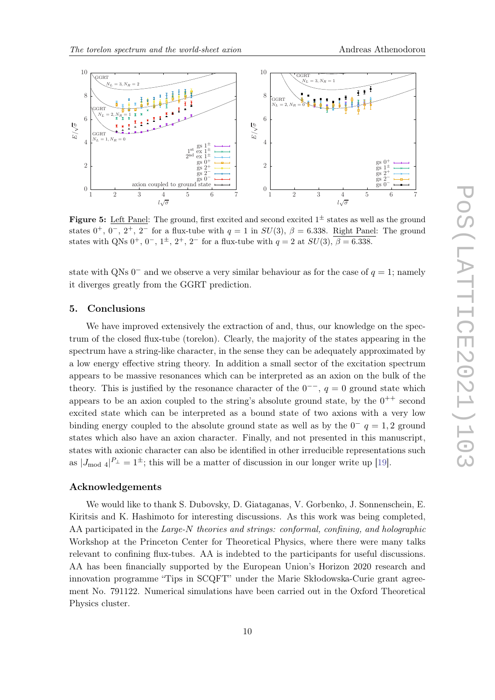<span id="page-9-0"></span>

**Figure 5:** Left Panel: The ground, first excited and second excited  $1^{\pm}$  states as well as the ground states  $0^+$ ,  $0^-$ ,  $2^+$ ,  $2^-$  for a flux-tube with  $q = 1$  in  $SU(3)$ ,  $\beta = 6.338$ . Right Panel: The ground states with QNs  $0^+$ ,  $0^-$ ,  $1^{\pm}$ ,  $2^+$ ,  $2^-$  for a flux-tube with  $q = 2$  at  $SU(3)$ ,  $\beta = 6.338$ .

state with QNs  $0^-$  and we observe a very similar behaviour as for the case of  $q=1$ ; namely it diverges greatly from the GGRT prediction.

## 5. Conclusions

We have improved extensively the extraction of and, thus, our knowledge on the spectrum of the closed flux-tube (torelon). Clearly, the majority of the states appearing in the spectrum have a string-like character, in the sense they can be adequately approximated by a low energy effective string theory. In addition a small sector of the excitation spectrum appears to be massive resonances which can be interpreted as an axion on the bulk of the theory. This is justified by the resonance character of the  $0^{--}$ ,  $q=0$  ground state which appears to be an axion coupled to the string's absolute ground state, by the  $0^{++}$  second excited state which can be interpreted as a bound state of two axions with a very low binding energy coupled to the absolute ground state as well as by the  $0^ q=1,2$  ground states which also have an axion character. Finally, and not presented in this manuscript, states with axionic character can also be identified in other irreducible representations such as  $|J_{\text{mod }4}|^{P_{\perp}} = 1^{\pm}$ ; this will be a matter of discussion in our longer write up [\[19\]](#page-11-4).

## Acknowledgements

We would like to thank S. Dubovsky, D. Giataganas, V. Gorbenko, J. Sonnenschein, E. Kiritsis and K. Hashimoto for interesting discussions. As this work was being completed, AA participated in the Large-N theories and strings: conformal, confining, and holographic Workshop at the Princeton Center for Theoretical Physics, where there were many talks relevant to confining flux-tubes. AA is indebted to the participants for useful discussions. AA has been financially supported by the European Union's Horizon 2020 research and innovation programme "Tips in SCQFT" under the Marie Skłodowska-Curie grant agreement No. 791122. Numerical simulations have been carried out in the Oxford Theoretical Physics cluster.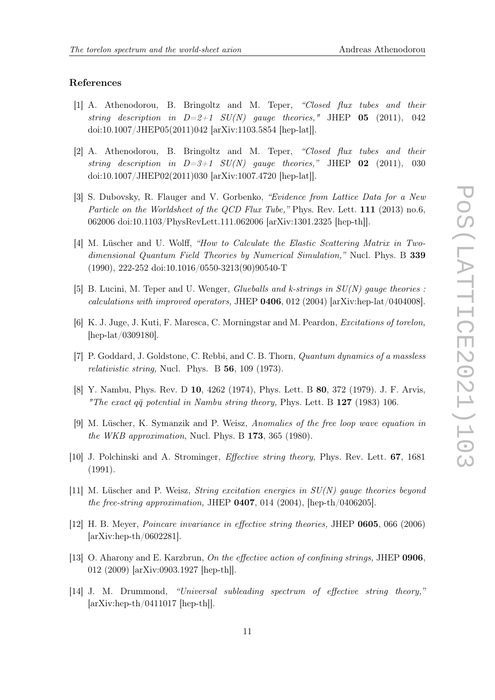## References

- <span id="page-10-0"></span>[1] A. Athenodorou, B. Bringoltz and M. Teper, "Closed flux tubes and their string description in  $D=2+1$   $SU(N)$  gauge theories," JHEP 05 (2011), 042 doi:10.1007/JHEP05(2011)042 [arXiv:1103.5854 [hep-lat]].
- <span id="page-10-1"></span>[2] A. Athenodorou, B. Bringoltz and M. Teper, "Closed flux tubes and their string description in  $D=3+1$  SU(N) gauge theories," JHEP 02 (2011), 030 doi:10.1007/JHEP02(2011)030 [arXiv:1007.4720 [hep-lat]].
- <span id="page-10-2"></span>[3] S. Dubovsky, R. Flauger and V. Gorbenko, "Evidence from Lattice Data for a New Particle on the Worldsheet of the QCD Flux Tube," Phys. Rev. Lett. 111 (2013) no.6, 062006 doi:10.1103/PhysRevLett.111.062006 [arXiv:1301.2325 [hep-th]].
- <span id="page-10-3"></span>[4] M. Lüscher and U. Wolff, "How to Calculate the Elastic Scattering Matrix in Twodimensional Quantum Field Theories by Numerical Simulation," Nucl. Phys. B 339 (1990), 222-252 doi:10.1016/0550-3213(90)90540-T
- <span id="page-10-4"></span>[5] B. Lucini, M. Teper and U. Wenger, *Glueballs and k-strings in SU(N) gauge theories*: calculations with improved operators, JHEP 0406, 012 (2004) [arXiv:hep-lat/0404008].
- <span id="page-10-5"></span>[6] K. J. Juge, J. Kuti, F. Maresca, C. Morningstar and M. Peardon, Excitations of torelon, [hep-lat/0309180].
- <span id="page-10-6"></span>[7] P. Goddard, J. Goldstone, C. Rebbi, and C. B. Thorn, Quantum dynamics of a massless relativistic string, Nucl. Phys. B 56, 109 (1973).
- <span id="page-10-7"></span>[8] Y. Nambu, Phys. Rev. D 10, 4262 (1974), Phys. Lett. B 80, 372 (1979). J. F. Arvis, "The exact  $q\bar{q}$  potential in Nambu string theory, Phys. Lett. B 127 (1983) 106.
- <span id="page-10-8"></span>[9] M. Lüscher, K. Symanzik and P. Weisz, Anomalies of the free loop wave equation in the WKB approximation, Nucl. Phys. B 173, 365 (1980).
- <span id="page-10-9"></span>[10] J. Polchinski and A. Strominger, Effective string theory, Phys. Rev. Lett. 67, 1681 (1991).
- <span id="page-10-10"></span>[11] M. Lüscher and P. Weisz, *String excitation energies in*  $SU(N)$  *gauge theories beyond* the free-string approximation, JHEP  $0407$ , 014 (2004), [hep-th/0406205].
- [12] H. B. Meyer, Poincare invariance in effective string theories, JHEP 0605, 066 (2006) [arXiv:hep-th/0602281].
- <span id="page-10-11"></span>[13] O. Aharony and E. Karzbrun, On the effective action of confining strings, JHEP 0906, 012 (2009) [arXiv:0903.1927 [hep-th]].
- <span id="page-10-12"></span>[14] J. M. Drummond, "Universal subleading spectrum of effective string theory," [arXiv:hep-th/0411017 [hep-th]].